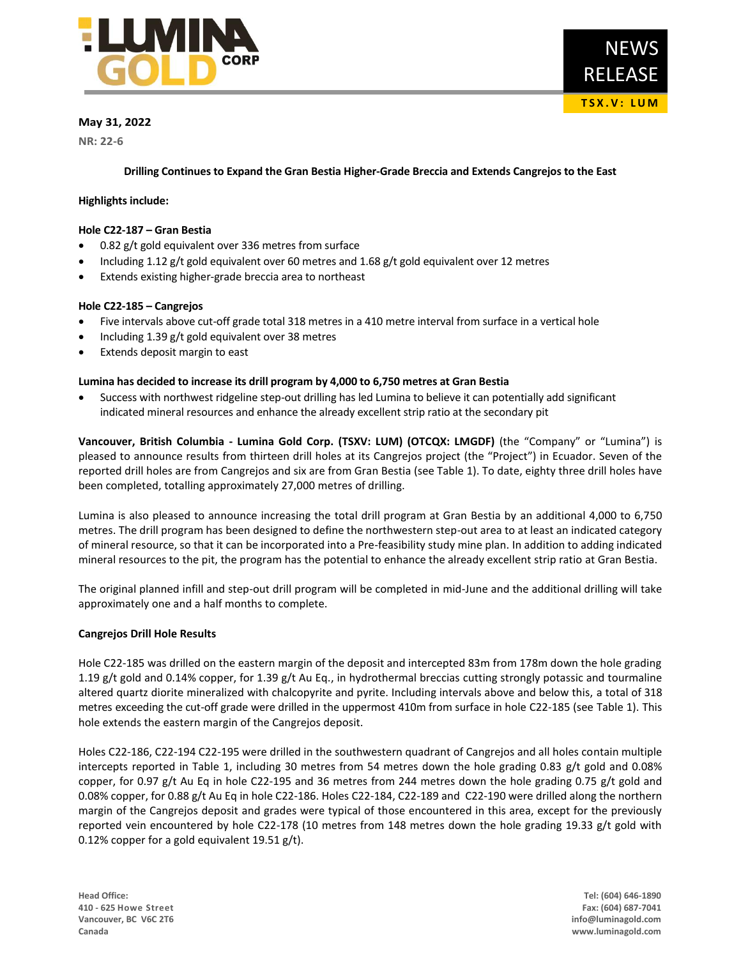

# **May 31, 2022**

**NR: 22-6**

**Drilling Continues to Expand the Gran Bestia Higher-Grade Breccia and Extends Cangrejos to the East**

## **Highlights include:**

## **Hole C22-187 – Gran Bestia**

- 0.82 g/t gold equivalent over 336 metres from surface
- Including 1.12 g/t gold equivalent over 60 metres and 1.68 g/t gold equivalent over 12 metres
- Extends existing higher-grade breccia area to northeast

## **Hole C22-185 – Cangrejos**

- Five intervals above cut-off grade total 318 metres in a 410 metre interval from surface in a vertical hole
- Including 1.39 g/t gold equivalent over 38 metres
- Extends deposit margin to east

## **Lumina has decided to increase its drill program by 4,000 to 6,750 metres at Gran Bestia**

• Success with northwest ridgeline step-out drilling has led Lumina to believe it can potentially add significant indicated mineral resources and enhance the already excellent strip ratio at the secondary pit

**Vancouver, British Columbia - Lumina Gold Corp. (TSXV: LUM) (OTCQX: LMGDF)** (the "Company" or "Lumina") is pleased to announce results from thirteen drill holes at its Cangrejos project (the "Project") in Ecuador. Seven of the reported drill holes are from Cangrejos and six are from Gran Bestia (see Table 1). To date, eighty three drill holes have been completed, totalling approximately 27,000 metres of drilling.

Lumina is also pleased to announce increasing the total drill program at Gran Bestia by an additional 4,000 to 6,750 metres. The drill program has been designed to define the northwestern step-out area to at least an indicated category of mineral resource, so that it can be incorporated into a Pre-feasibility study mine plan. In addition to adding indicated mineral resources to the pit, the program has the potential to enhance the already excellent strip ratio at Gran Bestia.

The original planned infill and step-out drill program will be completed in mid-June and the additional drilling will take approximately one and a half months to complete.

### **Cangrejos Drill Hole Results**

Hole C22-185 was drilled on the eastern margin of the deposit and intercepted 83m from 178m down the hole grading 1.19 g/t gold and 0.14% copper, for 1.39 g/t Au Eq., in hydrothermal breccias cutting strongly potassic and tourmaline altered quartz diorite mineralized with chalcopyrite and pyrite. Including intervals above and below this, a total of 318 metres exceeding the cut-off grade were drilled in the uppermost 410m from surface in hole C22-185 (see Table 1). This hole extends the eastern margin of the Cangrejos deposit.

Holes C22-186, C22-194 C22-195 were drilled in the southwestern quadrant of Cangrejos and all holes contain multiple intercepts reported in Table 1, including 30 metres from 54 metres down the hole grading 0.83 g/t gold and 0.08% copper, for 0.97 g/t Au Eq in hole C22-195 and 36 metres from 244 metres down the hole grading 0.75 g/t gold and 0.08% copper, for 0.88 g/t Au Eq in hole C22-186. Holes C22-184, C22-189 and C22-190 were drilled along the northern margin of the Cangrejos deposit and grades were typical of those encountered in this area, except for the previously reported vein encountered by hole C22-178 (10 metres from 148 metres down the hole grading 19.33 g/t gold with 0.12% copper for a gold equivalent 19.51 g/t).

**Head Office: Tel: (604) 646-1890 410 - 625 Howe Street Fax: (604) 687-7041 Vancouver, BC V6C 2T6 info@luminagold.com Canada www.luminagold.com**

**T S X . V : L U M**

RELEASE

NEWS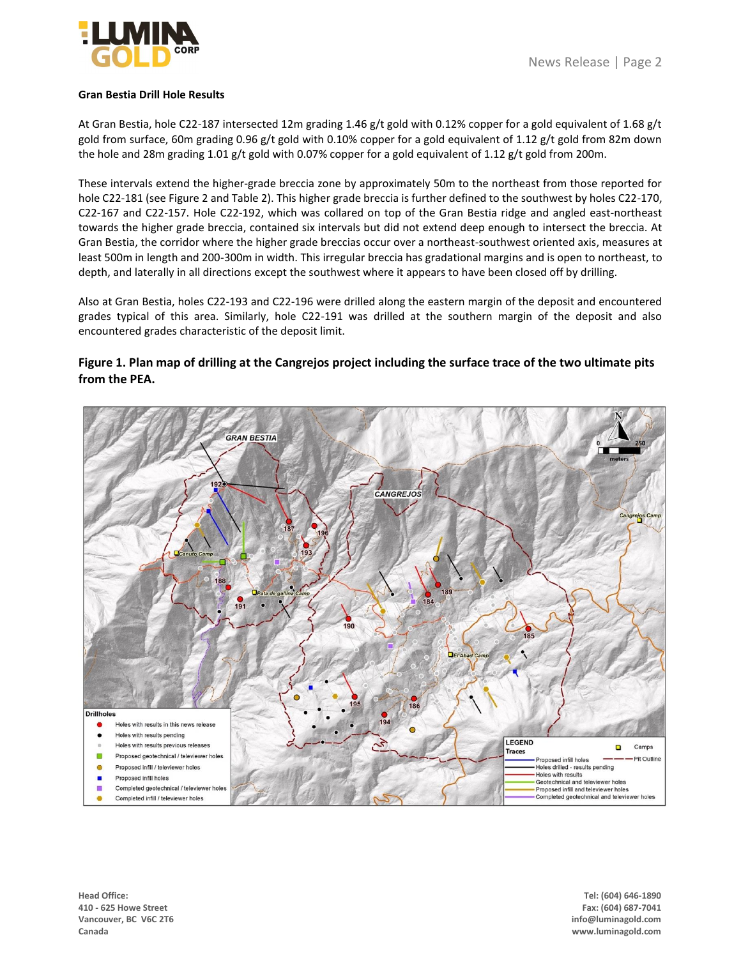

## **Gran Bestia Drill Hole Results**

At Gran Bestia, hole C22-187 intersected 12m grading 1.46 g/t gold with 0.12% copper for a gold equivalent of 1.68 g/t gold from surface, 60m grading 0.96 g/t gold with 0.10% copper for a gold equivalent of 1.12 g/t gold from 82m down the hole and 28m grading 1.01 g/t gold with 0.07% copper for a gold equivalent of 1.12 g/t gold from 200m.

These intervals extend the higher-grade breccia zone by approximately 50m to the northeast from those reported for hole C22-181 (see Figure 2 and Table 2). This higher grade breccia is further defined to the southwest by holes C22-170, C22-167 and C22-157. Hole C22-192, which was collared on top of the Gran Bestia ridge and angled east-northeast towards the higher grade breccia, contained six intervals but did not extend deep enough to intersect the breccia. At Gran Bestia, the corridor where the higher grade breccias occur over a northeast-southwest oriented axis, measures at least 500m in length and 200-300m in width. This irregular breccia has gradational margins and is open to northeast, to depth, and laterally in all directions except the southwest where it appears to have been closed off by drilling.

Also at Gran Bestia, holes C22-193 and C22-196 were drilled along the eastern margin of the deposit and encountered grades typical of this area. Similarly, hole C22-191 was drilled at the southern margin of the deposit and also encountered grades characteristic of the deposit limit.

# **Figure 1. Plan map of drilling at the Cangrejos project including the surface trace of the two ultimate pits from the PEA.**

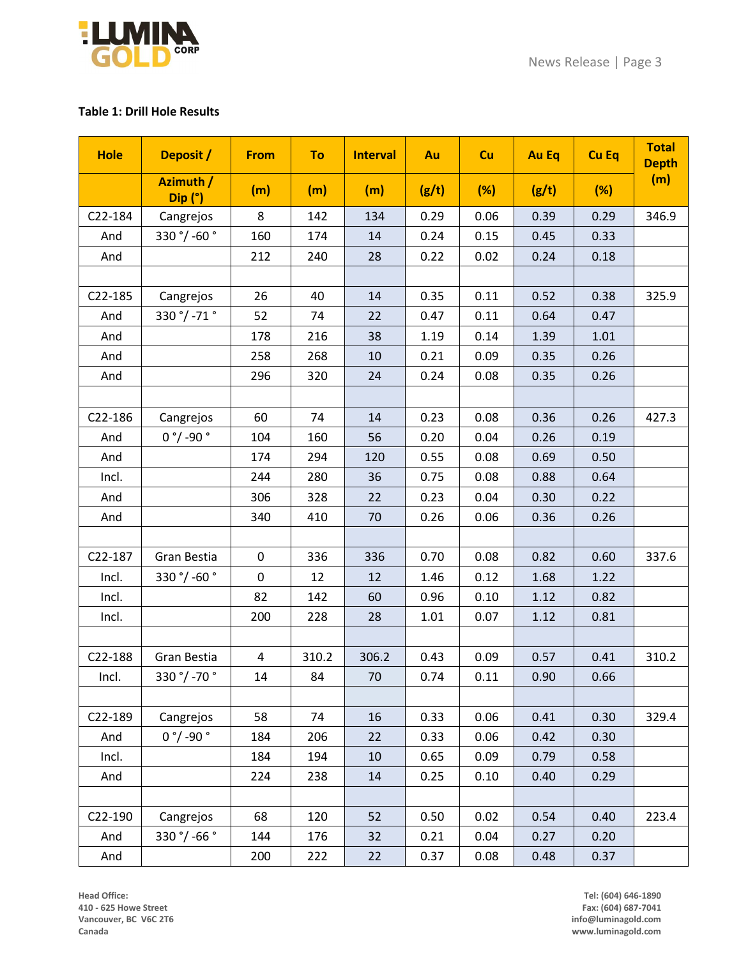

# **Table 1: Drill Hole Results**

| <b>Hole</b> | Deposit /            | <b>From</b>    | To    | <b>Interval</b> | Au    | <b>Cu</b> | <b>Au Eq</b> | <b>Cu Eq</b> | <b>Total</b><br><b>Depth</b> |
|-------------|----------------------|----------------|-------|-----------------|-------|-----------|--------------|--------------|------------------------------|
|             | Azimuth /<br>Dip (°) | (m)            | (m)   | (m)             | (g/t) | (%)       | (g/t)        | (%)          | (m)                          |
| C22-184     | Cangrejos            | 8              | 142   | 134             | 0.29  | 0.06      | 0.39         | 0.29         | 346.9                        |
| And         | 330 °/ -60 °         | 160            | 174   | 14              | 0.24  | 0.15      | 0.45         | 0.33         |                              |
| And         |                      | 212            | 240   | 28              | 0.22  | 0.02      | 0.24         | 0.18         |                              |
|             |                      |                |       |                 |       |           |              |              |                              |
| C22-185     | Cangrejos            | 26             | 40    | 14              | 0.35  | 0.11      | 0.52         | 0.38         | 325.9                        |
| And         | 330 °/ -71 °         | 52             | 74    | 22              | 0.47  | 0.11      | 0.64         | 0.47         |                              |
| And         |                      | 178            | 216   | 38              | 1.19  | 0.14      | 1.39         | 1.01         |                              |
| And         |                      | 258            | 268   | 10              | 0.21  | 0.09      | 0.35         | 0.26         |                              |
| And         |                      | 296            | 320   | 24              | 0.24  | 0.08      | 0.35         | 0.26         |                              |
|             |                      |                |       |                 |       |           |              |              |                              |
| C22-186     | Cangrejos            | 60             | 74    | 14              | 0.23  | 0.08      | 0.36         | 0.26         | 427.3                        |
| And         | $0 °/$ -90 $°$       | 104            | 160   | 56              | 0.20  | 0.04      | 0.26         | 0.19         |                              |
| And         |                      | 174            | 294   | 120             | 0.55  | 0.08      | 0.69         | 0.50         |                              |
| Incl.       |                      | 244            | 280   | 36              | 0.75  | 0.08      | 0.88         | 0.64         |                              |
| And         |                      | 306            | 328   | 22              | 0.23  | 0.04      | 0.30         | 0.22         |                              |
| And         |                      | 340            | 410   | 70              | 0.26  | 0.06      | 0.36         | 0.26         |                              |
|             |                      |                |       |                 |       |           |              |              |                              |
| C22-187     | Gran Bestia          | 0              | 336   | 336             | 0.70  | 0.08      | 0.82         | 0.60         | 337.6                        |
| Incl.       | 330 °/ -60 °         | $\mathbf 0$    | 12    | 12              | 1.46  | 0.12      | 1.68         | 1.22         |                              |
| Incl.       |                      | 82             | 142   | 60              | 0.96  | 0.10      | 1.12         | 0.82         |                              |
| Incl.       |                      | 200            | 228   | 28              | 1.01  | 0.07      | 1.12         | 0.81         |                              |
|             |                      |                |       |                 |       |           |              |              |                              |
| C22-188     | Gran Bestia          | $\overline{4}$ | 310.2 | 306.2           | 0.43  | 0.09      | 0.57         | 0.41         | 310.2                        |
| Incl.       | 330 °/ -70 °         | 14             | 84    | 70              | 0.74  | 0.11      | 0.90         | 0.66         |                              |
|             |                      |                |       |                 |       |           |              |              |                              |
| C22-189     | Cangrejos            | 58             | 74    | 16              | 0.33  | 0.06      | 0.41         | 0.30         | 329.4                        |
| And         | $0 °/$ -90 $°$       | 184            | 206   | 22              | 0.33  | 0.06      | 0.42         | 0.30         |                              |
| Incl.       |                      | 184            | 194   | 10              | 0.65  | 0.09      | 0.79         | 0.58         |                              |
| And         |                      | 224            | 238   | 14              | 0.25  | 0.10      | 0.40         | 0.29         |                              |
|             |                      |                |       |                 |       |           |              |              |                              |
| C22-190     | Cangrejos            | 68             | 120   | 52              | 0.50  | 0.02      | 0.54         | 0.40         | 223.4                        |
| And         | 330 °/ -66 °         | 144            | 176   | 32              | 0.21  | 0.04      | 0.27         | 0.20         |                              |
| And         |                      | 200            | 222   | 22              | 0.37  | 0.08      | 0.48         | 0.37         |                              |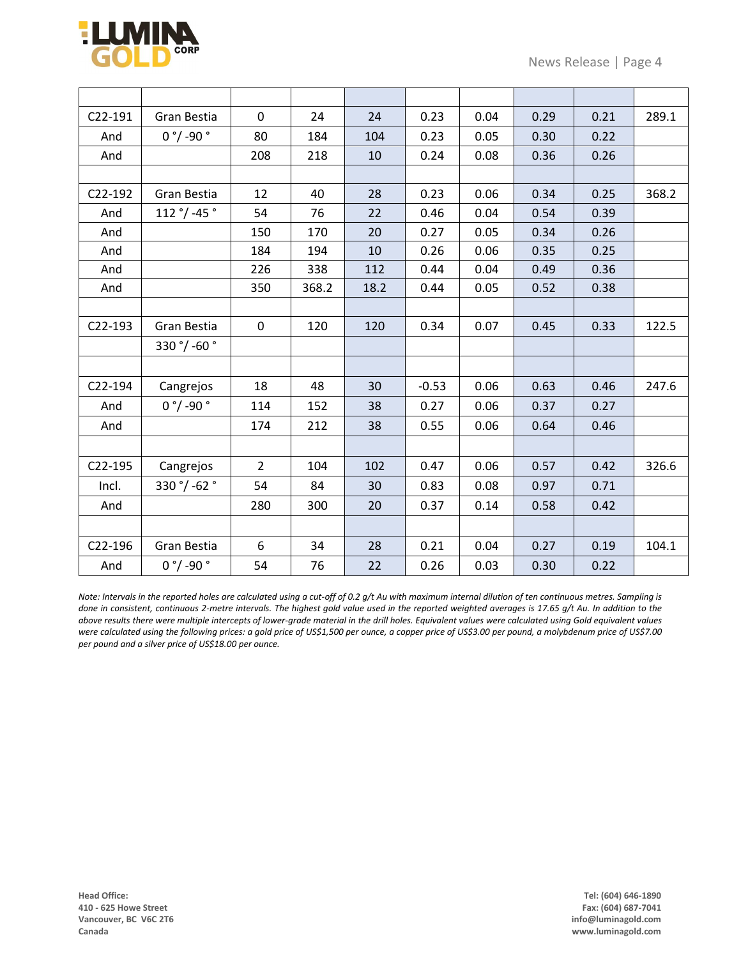

| C22-191              | Gran Bestia    | $\mathbf 0$    | 24    | 24   | 0.23    | 0.04 | 0.29 | 0.21 | 289.1 |
|----------------------|----------------|----------------|-------|------|---------|------|------|------|-------|
| And                  | $0 °/$ -90 $°$ | 80             | 184   | 104  | 0.23    | 0.05 | 0.30 | 0.22 |       |
| And                  |                | 208            | 218   | 10   | 0.24    | 0.08 | 0.36 | 0.26 |       |
|                      |                |                |       |      |         |      |      |      |       |
| C22-192              | Gran Bestia    | 12             | 40    | 28   | 0.23    | 0.06 | 0.34 | 0.25 | 368.2 |
| And                  | 112 °/ -45 °   | 54             | 76    | 22   | 0.46    | 0.04 | 0.54 | 0.39 |       |
| And                  |                | 150            | 170   | 20   | 0.27    | 0.05 | 0.34 | 0.26 |       |
| And                  |                | 184            | 194   | 10   | 0.26    | 0.06 | 0.35 | 0.25 |       |
| And                  |                | 226            | 338   | 112  | 0.44    | 0.04 | 0.49 | 0.36 |       |
| And                  |                | 350            | 368.2 | 18.2 | 0.44    | 0.05 | 0.52 | 0.38 |       |
|                      |                |                |       |      |         |      |      |      |       |
| C22-193              | Gran Bestia    | $\pmb{0}$      | 120   | 120  | 0.34    | 0.07 | 0.45 | 0.33 | 122.5 |
|                      | 330 °/ -60 °   |                |       |      |         |      |      |      |       |
|                      |                |                |       |      |         |      |      |      |       |
| C22-194              | Cangrejos      | 18             | 48    | 30   | $-0.53$ | 0.06 | 0.63 | 0.46 | 247.6 |
| And                  | $0 °/$ -90 $°$ | 114            | 152   | 38   | 0.27    | 0.06 | 0.37 | 0.27 |       |
| And                  |                | 174            | 212   | 38   | 0.55    | 0.06 | 0.64 | 0.46 |       |
|                      |                |                |       |      |         |      |      |      |       |
| C22-195              | Cangrejos      | $\overline{2}$ | 104   | 102  | 0.47    | 0.06 | 0.57 | 0.42 | 326.6 |
| Incl.                | 330 °/ -62 °   | 54             | 84    | 30   | 0.83    | 0.08 | 0.97 | 0.71 |       |
| And                  |                | 280            | 300   | 20   | 0.37    | 0.14 | 0.58 | 0.42 |       |
|                      |                |                |       |      |         |      |      |      |       |
| C <sub>22</sub> -196 | Gran Bestia    | 6              | 34    | 28   | 0.21    | 0.04 | 0.27 | 0.19 | 104.1 |
| And                  | $0 °/ -90 °$   | 54             | 76    | 22   | 0.26    | 0.03 | 0.30 | 0.22 |       |

*Note: Intervals in the reported holes are calculated using a cut-off of 0.2 g/t Au with maximum internal dilution of ten continuous metres. Sampling is done in consistent, continuous 2-metre intervals. The highest gold value used in the reported weighted averages is 17.65 g/t Au. In addition to the above results there were multiple intercepts of lower-grade material in the drill holes. Equivalent values were calculated using Gold equivalent values were calculated using the following prices: a gold price of US\$1,500 per ounce, a copper price of US\$3.00 per pound, a molybdenum price of US\$7.00 per pound and a silver price of US\$18.00 per ounce.*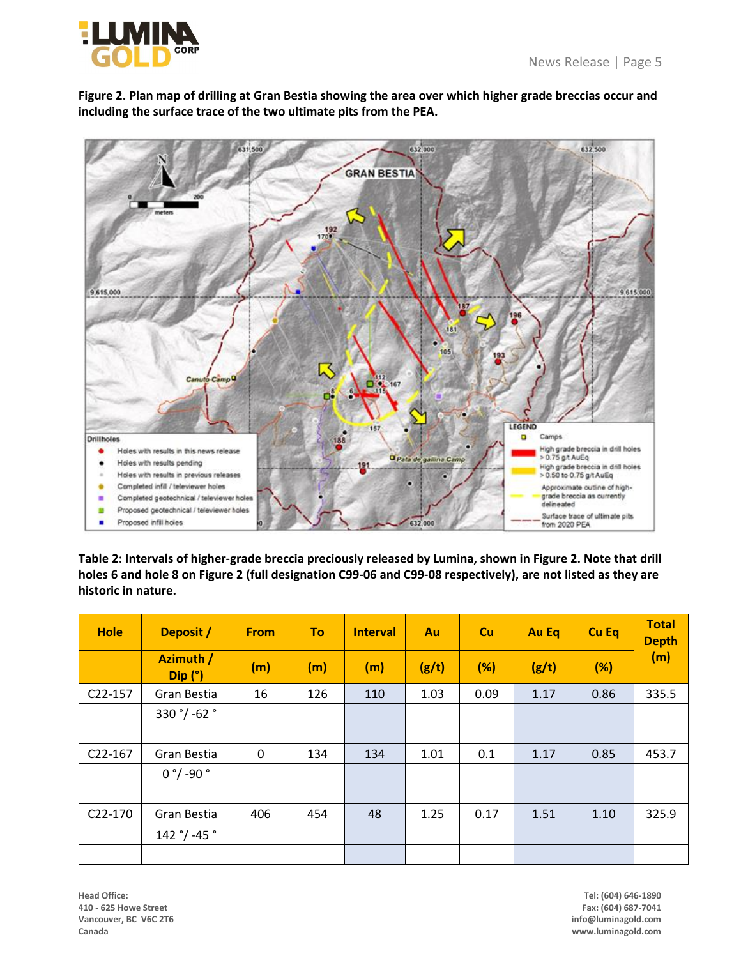





**Table 2: Intervals of higher-grade breccia preciously released by Lumina, shown in Figure 2. Note that drill holes 6 and hole 8 on Figure 2 (full designation C99-06 and C99-08 respectively), are not listed as they are historic in nature.**

| <b>Hole</b> | Deposit /                         | <b>From</b> | To  | <b>Interval</b> | Au    | <b>Cu</b> | <b>Au Eq</b> | <b>Cu Eq</b> | <b>Total</b><br><b>Depth</b><br>(m) |
|-------------|-----------------------------------|-------------|-----|-----------------|-------|-----------|--------------|--------------|-------------------------------------|
|             | Azimuth /<br>$Dip$ ( $^{\circ}$ ) | (m)         | (m) | (m)             | (g/t) | (%)       | (g/t)        | (%)          |                                     |
| C22-157     | Gran Bestia                       | 16          | 126 | 110             | 1.03  | 0.09      | 1.17         | 0.86         | 335.5                               |
|             | 330 °/ -62 °                      |             |     |                 |       |           |              |              |                                     |
|             |                                   |             |     |                 |       |           |              |              |                                     |
| C22-167     | Gran Bestia                       | 0           | 134 | 134             | 1.01  | 0.1       | 1.17         | 0.85         | 453.7                               |
|             | $0 °/$ -90 $°$                    |             |     |                 |       |           |              |              |                                     |
|             |                                   |             |     |                 |       |           |              |              |                                     |
| C22-170     | Gran Bestia                       | 406         | 454 | 48              | 1.25  | 0.17      | 1.51         | 1.10         | 325.9                               |
|             | 142 °/ -45 °                      |             |     |                 |       |           |              |              |                                     |
|             |                                   |             |     |                 |       |           |              |              |                                     |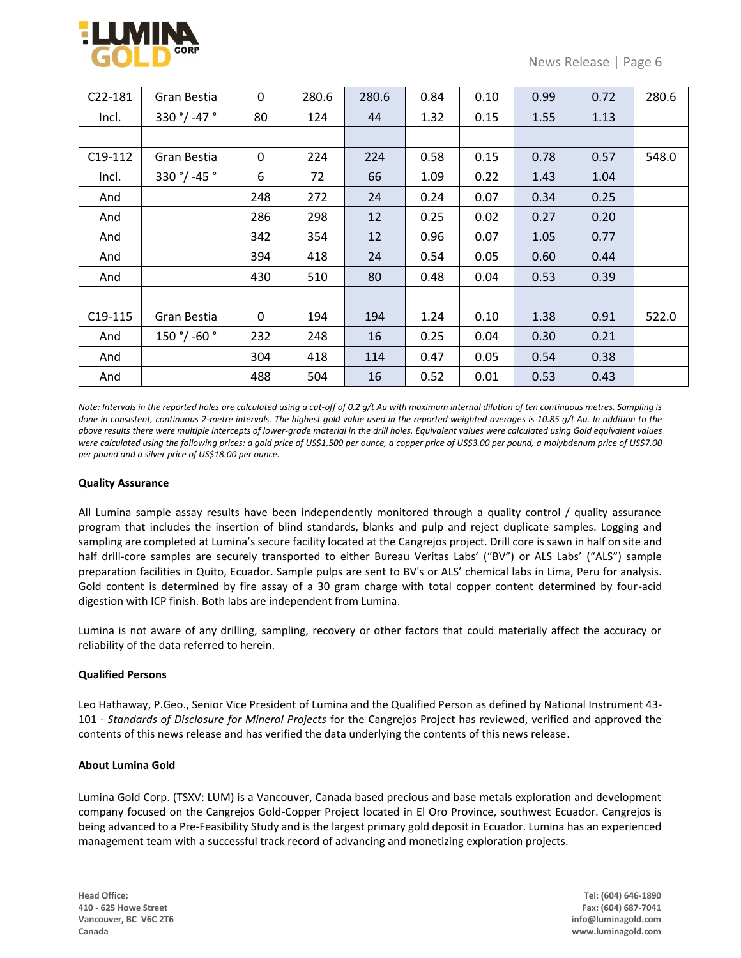

| C22-181 | Gran Bestia  | $\mathbf 0$  | 280.6 | 280.6 | 0.84 | 0.10 | 0.99 | 0.72 | 280.6 |
|---------|--------------|--------------|-------|-------|------|------|------|------|-------|
| Incl.   | 330 °/ -47 ° | 80           | 124   | 44    | 1.32 | 0.15 | 1.55 | 1.13 |       |
|         |              |              |       |       |      |      |      |      |       |
| C19-112 | Gran Bestia  | $\mathbf{0}$ | 224   | 224   | 0.58 | 0.15 | 0.78 | 0.57 | 548.0 |
| Incl.   | 330 °/ -45 ° | 6            | 72    | 66    | 1.09 | 0.22 | 1.43 | 1.04 |       |
| And     |              | 248          | 272   | 24    | 0.24 | 0.07 | 0.34 | 0.25 |       |
| And     |              | 286          | 298   | 12    | 0.25 | 0.02 | 0.27 | 0.20 |       |
| And     |              | 342          | 354   | 12    | 0.96 | 0.07 | 1.05 | 0.77 |       |
| And     |              | 394          | 418   | 24    | 0.54 | 0.05 | 0.60 | 0.44 |       |
| And     |              | 430          | 510   | 80    | 0.48 | 0.04 | 0.53 | 0.39 |       |
|         |              |              |       |       |      |      |      |      |       |
| C19-115 | Gran Bestia  | 0            | 194   | 194   | 1.24 | 0.10 | 1.38 | 0.91 | 522.0 |
| And     | 150 °/ -60 ° | 232          | 248   | 16    | 0.25 | 0.04 | 0.30 | 0.21 |       |
| And     |              | 304          | 418   | 114   | 0.47 | 0.05 | 0.54 | 0.38 |       |
| And     |              | 488          | 504   | 16    | 0.52 | 0.01 | 0.53 | 0.43 |       |

*Note: Intervals in the reported holes are calculated using a cut-off of 0.2 g/t Au with maximum internal dilution of ten continuous metres. Sampling is done in consistent, continuous 2-metre intervals. The highest gold value used in the reported weighted averages is 10.85 g/t Au. In addition to the above results there were multiple intercepts of lower-grade material in the drill holes. Equivalent values were calculated using Gold equivalent values were calculated using the following prices: a gold price of US\$1,500 per ounce, a copper price of US\$3.00 per pound, a molybdenum price of US\$7.00 per pound and a silver price of US\$18.00 per ounce.*

### **Quality Assurance**

All Lumina sample assay results have been independently monitored through a quality control / quality assurance program that includes the insertion of blind standards, blanks and pulp and reject duplicate samples. Logging and sampling are completed at Lumina's secure facility located at the Cangrejos project. Drill core is sawn in half on site and half drill-core samples are securely transported to either Bureau Veritas Labs' ("BV") or ALS Labs' ("ALS") sample preparation facilities in Quito, Ecuador. Sample pulps are sent to BV's or ALS' chemical labs in Lima, Peru for analysis. Gold content is determined by fire assay of a 30 gram charge with total copper content determined by four-acid digestion with ICP finish. Both labs are independent from Lumina.

Lumina is not aware of any drilling, sampling, recovery or other factors that could materially affect the accuracy or reliability of the data referred to herein.

## **Qualified Persons**

Leo Hathaway, P.Geo., Senior Vice President of Lumina and the Qualified Person as defined by National Instrument 43- 101 - *Standards of Disclosure for Mineral Projects* for the Cangrejos Project has reviewed, verified and approved the contents of this news release and has verified the data underlying the contents of this news release.

## **About Lumina Gold**

Lumina Gold Corp. (TSXV: LUM) is a Vancouver, Canada based precious and base metals exploration and development company focused on the Cangrejos Gold-Copper Project located in El Oro Province, southwest Ecuador. Cangrejos is being advanced to a Pre-Feasibility Study and is the largest primary gold deposit in Ecuador. Lumina has an experienced management team with a successful track record of advancing and monetizing exploration projects.